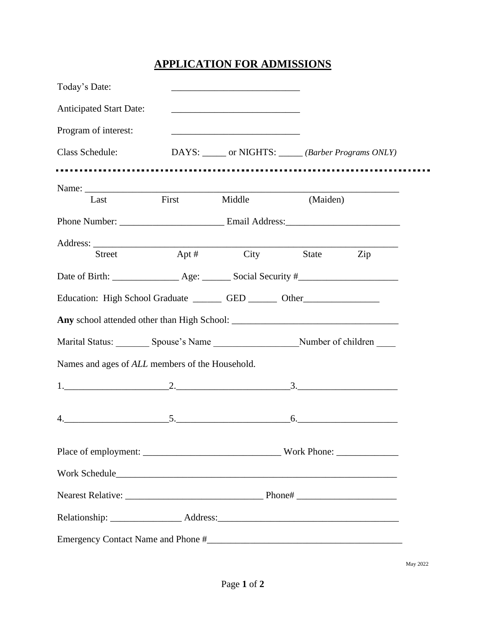## **APPLICATION FOR ADMISSIONS**

| Today's Date:                                                                              |              |                                                                                                                       |          |     |  |  |  |
|--------------------------------------------------------------------------------------------|--------------|-----------------------------------------------------------------------------------------------------------------------|----------|-----|--|--|--|
| <b>Anticipated Start Date:</b>                                                             |              | <u> 1989 - Johann Barbara, martin amerikan basar dan berasal dan berasal dalam basar dalam basar dalam basar dala</u> |          |     |  |  |  |
| Program of interest:                                                                       |              |                                                                                                                       |          |     |  |  |  |
| Class Schedule:                                                                            |              | DAYS: ______ or NIGHTS: ______ (Barber Programs ONLY)                                                                 |          |     |  |  |  |
|                                                                                            |              |                                                                                                                       |          |     |  |  |  |
| Last                                                                                       | First Middle |                                                                                                                       | (Maiden) |     |  |  |  |
|                                                                                            |              |                                                                                                                       |          |     |  |  |  |
|                                                                                            |              |                                                                                                                       |          |     |  |  |  |
| Street                                                                                     | Apt $#$      | City                                                                                                                  | State    | Zip |  |  |  |
|                                                                                            |              |                                                                                                                       |          |     |  |  |  |
| Education: High School Graduate __________ GED _________ Other___________________          |              |                                                                                                                       |          |     |  |  |  |
|                                                                                            |              |                                                                                                                       |          |     |  |  |  |
| Marital Status: _________ Spouse's Name __________________________Number of children _____ |              |                                                                                                                       |          |     |  |  |  |
| Names and ages of ALL members of the Household.                                            |              |                                                                                                                       |          |     |  |  |  |
| $1.$ $2.$ $3.$                                                                             |              |                                                                                                                       |          |     |  |  |  |
|                                                                                            |              |                                                                                                                       |          |     |  |  |  |
| $5.$ 6.                                                                                    |              |                                                                                                                       |          |     |  |  |  |
|                                                                                            |              |                                                                                                                       |          |     |  |  |  |
|                                                                                            |              |                                                                                                                       |          |     |  |  |  |
|                                                                                            |              |                                                                                                                       |          |     |  |  |  |
|                                                                                            |              |                                                                                                                       |          |     |  |  |  |
|                                                                                            |              |                                                                                                                       |          |     |  |  |  |